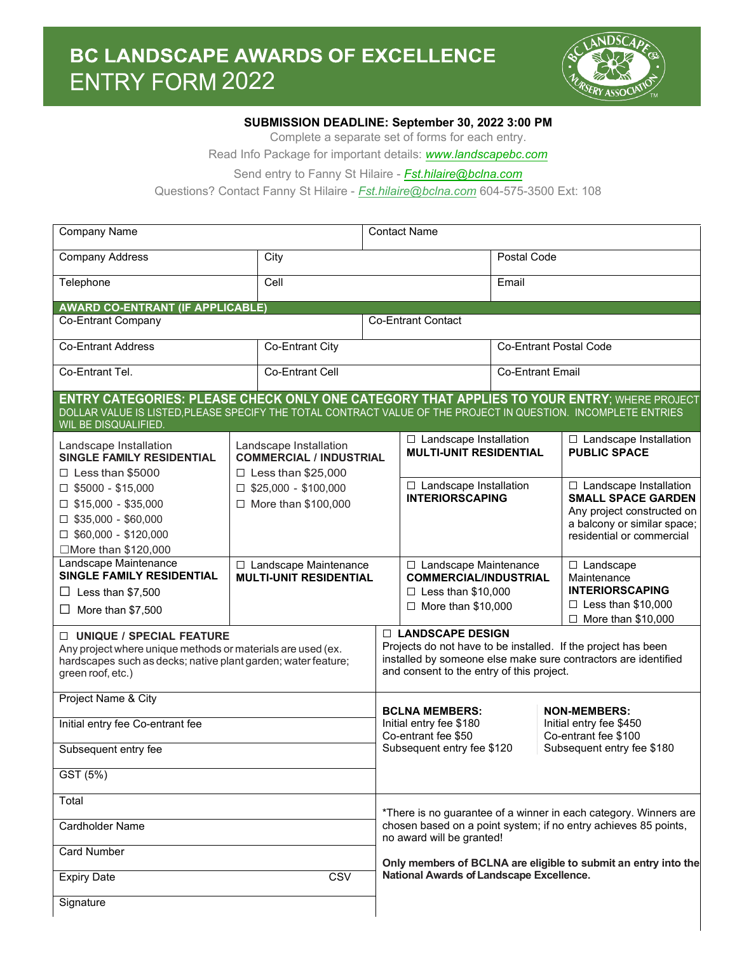

## **SUBMISSION DEADLINE: September 30, 2022 3:00 PM**

Complete a separate set of forms for each entry.

Read Info Package for important details: *[www.landscapebc.com](https://landscapebc.com/)* 

Send entry to Fanny St Hilaire - *Fst.hilaire@bclna.com* 

Questions? Contact Fanny St Hilaire - *Fst.hilaire@bclna.com* 604-575-3500 Ext: 108

| <b>Company Name</b>                                                                                                                                                             |                                                                                                                                                                                                                     | <b>Contact Name</b>                                      |                                                                                                                                                                                                                                                                                |                                                                                                                                                               |                               |                                                            |  |
|---------------------------------------------------------------------------------------------------------------------------------------------------------------------------------|---------------------------------------------------------------------------------------------------------------------------------------------------------------------------------------------------------------------|----------------------------------------------------------|--------------------------------------------------------------------------------------------------------------------------------------------------------------------------------------------------------------------------------------------------------------------------------|---------------------------------------------------------------------------------------------------------------------------------------------------------------|-------------------------------|------------------------------------------------------------|--|
| <b>Company Address</b>                                                                                                                                                          |                                                                                                                                                                                                                     | City                                                     |                                                                                                                                                                                                                                                                                | Postal Code                                                                                                                                                   |                               |                                                            |  |
| Telephone                                                                                                                                                                       |                                                                                                                                                                                                                     | Cell                                                     |                                                                                                                                                                                                                                                                                | Email                                                                                                                                                         |                               |                                                            |  |
| <b>AWARD CO-ENTRANT (IF APPLICABLE)</b>                                                                                                                                         |                                                                                                                                                                                                                     |                                                          |                                                                                                                                                                                                                                                                                |                                                                                                                                                               |                               |                                                            |  |
| <b>Co-Entrant Company</b>                                                                                                                                                       |                                                                                                                                                                                                                     | <b>Co-Entrant Contact</b>                                |                                                                                                                                                                                                                                                                                |                                                                                                                                                               |                               |                                                            |  |
| <b>Co-Entrant Address</b>                                                                                                                                                       | Co-Entrant City                                                                                                                                                                                                     |                                                          |                                                                                                                                                                                                                                                                                |                                                                                                                                                               | <b>Co-Entrant Postal Code</b> |                                                            |  |
| Co-Entrant Tel.                                                                                                                                                                 |                                                                                                                                                                                                                     | Co-Entrant Cell                                          |                                                                                                                                                                                                                                                                                | <b>Co-Entrant Email</b>                                                                                                                                       |                               |                                                            |  |
| WIL BE DISQUALIFIED.                                                                                                                                                            | <b>ENTRY CATEGORIES: PLEASE CHECK ONLY ONE CATEGORY THAT APPLIES TO YOUR ENTRY; WHERE PROJECT</b><br>DOLLAR VALUE IS LISTED, PLEASE SPECIFY THE TOTAL CONTRACT VALUE OF THE PROJECT IN QUESTION. INCOMPLETE ENTRIES |                                                          |                                                                                                                                                                                                                                                                                |                                                                                                                                                               |                               |                                                            |  |
| Landscape Installation<br>SINGLE FAMILY RESIDENTIAL                                                                                                                             |                                                                                                                                                                                                                     | Landscape Installation<br><b>COMMERCIAL / INDUSTRIAL</b> |                                                                                                                                                                                                                                                                                | $\Box$ Landscape Installation<br><b>MULTI-UNIT RESIDENTIAL</b>                                                                                                |                               | □ Landscape Installation<br><b>PUBLIC SPACE</b>            |  |
| $\Box$ Less than \$5000                                                                                                                                                         |                                                                                                                                                                                                                     | $\Box$ Less than \$25,000                                |                                                                                                                                                                                                                                                                                |                                                                                                                                                               |                               |                                                            |  |
| $\square$ \$5000 - \$15,000                                                                                                                                                     |                                                                                                                                                                                                                     | $\Box$ \$25,000 - \$100,000                              |                                                                                                                                                                                                                                                                                | $\Box$ Landscape Installation<br><b>INTERIORSCAPING</b>                                                                                                       |                               | $\Box$ Landscape Installation<br><b>SMALL SPACE GARDEN</b> |  |
| $\Box$ \$15,000 - \$35,000                                                                                                                                                      |                                                                                                                                                                                                                     | □ More than \$100,000                                    |                                                                                                                                                                                                                                                                                |                                                                                                                                                               |                               | Any project constructed on                                 |  |
| $\Box$ \$35,000 - \$60,000                                                                                                                                                      |                                                                                                                                                                                                                     |                                                          |                                                                                                                                                                                                                                                                                |                                                                                                                                                               |                               | a balcony or similar space;                                |  |
| $\Box$ \$60,000 - \$120,000                                                                                                                                                     |                                                                                                                                                                                                                     |                                                          |                                                                                                                                                                                                                                                                                |                                                                                                                                                               |                               | residential or commercial                                  |  |
| □More than \$120,000                                                                                                                                                            |                                                                                                                                                                                                                     |                                                          |                                                                                                                                                                                                                                                                                |                                                                                                                                                               |                               |                                                            |  |
| Landscape Maintenance<br>SINGLE FAMILY RESIDENTIAL                                                                                                                              |                                                                                                                                                                                                                     | □ Landscape Maintenance<br><b>MULTI-UNIT RESIDENTIAL</b> |                                                                                                                                                                                                                                                                                | $\Box$ Landscape Maintenance<br><b>COMMERCIAL/INDUSTRIAL</b><br>Maintenance<br>$\Box$ Less than \$10,000<br>$\Box$ More than \$10,000                         |                               | □ Landscape                                                |  |
| $\Box$ Less than \$7,500                                                                                                                                                        |                                                                                                                                                                                                                     |                                                          |                                                                                                                                                                                                                                                                                |                                                                                                                                                               |                               | <b>INTERIORSCAPING</b>                                     |  |
| More than \$7,500<br>ப                                                                                                                                                          |                                                                                                                                                                                                                     |                                                          |                                                                                                                                                                                                                                                                                |                                                                                                                                                               |                               | $\Box$ Less than \$10,000                                  |  |
|                                                                                                                                                                                 |                                                                                                                                                                                                                     |                                                          |                                                                                                                                                                                                                                                                                |                                                                                                                                                               |                               | $\Box$ More than \$10,000                                  |  |
| □ UNIQUE / SPECIAL FEATURE<br>Any project where unique methods or materials are used (ex.<br>hardscapes such as decks; native plant garden; water feature;<br>green roof, etc.) |                                                                                                                                                                                                                     |                                                          | □ LANDSCAPE DESIGN<br>Projects do not have to be installed. If the project has been<br>installed by someone else make sure contractors are identified<br>and consent to the entry of this project.                                                                             |                                                                                                                                                               |                               |                                                            |  |
| Project Name & City                                                                                                                                                             |                                                                                                                                                                                                                     |                                                          |                                                                                                                                                                                                                                                                                | <b>BCLNA MEMBERS:</b>                                                                                                                                         |                               | <b>NON-MEMBERS:</b>                                        |  |
| Initial entry fee Co-entrant fee                                                                                                                                                |                                                                                                                                                                                                                     |                                                          |                                                                                                                                                                                                                                                                                | Initial entry fee \$180<br>Initial entry fee \$450<br>Co-entrant fee \$50<br>Co-entrant fee \$100<br>Subsequent entry fee \$120<br>Subsequent entry fee \$180 |                               |                                                            |  |
| Subsequent entry fee                                                                                                                                                            |                                                                                                                                                                                                                     |                                                          |                                                                                                                                                                                                                                                                                |                                                                                                                                                               |                               |                                                            |  |
| GST (5%)                                                                                                                                                                        |                                                                                                                                                                                                                     |                                                          |                                                                                                                                                                                                                                                                                |                                                                                                                                                               |                               |                                                            |  |
| Total                                                                                                                                                                           |                                                                                                                                                                                                                     |                                                          | *There is no guarantee of a winner in each category. Winners are<br>chosen based on a point system; if no entry achieves 85 points,<br>no award will be granted!<br>Only members of BCLNA are eligible to submit an entry into the<br>National Awards of Landscape Excellence. |                                                                                                                                                               |                               |                                                            |  |
| Cardholder Name                                                                                                                                                                 |                                                                                                                                                                                                                     |                                                          |                                                                                                                                                                                                                                                                                |                                                                                                                                                               |                               |                                                            |  |
| <b>Card Number</b>                                                                                                                                                              |                                                                                                                                                                                                                     |                                                          |                                                                                                                                                                                                                                                                                |                                                                                                                                                               |                               |                                                            |  |
| CSV<br><b>Expiry Date</b>                                                                                                                                                       |                                                                                                                                                                                                                     |                                                          |                                                                                                                                                                                                                                                                                |                                                                                                                                                               |                               |                                                            |  |
| Signature                                                                                                                                                                       |                                                                                                                                                                                                                     |                                                          |                                                                                                                                                                                                                                                                                |                                                                                                                                                               |                               |                                                            |  |
|                                                                                                                                                                                 |                                                                                                                                                                                                                     |                                                          |                                                                                                                                                                                                                                                                                |                                                                                                                                                               |                               |                                                            |  |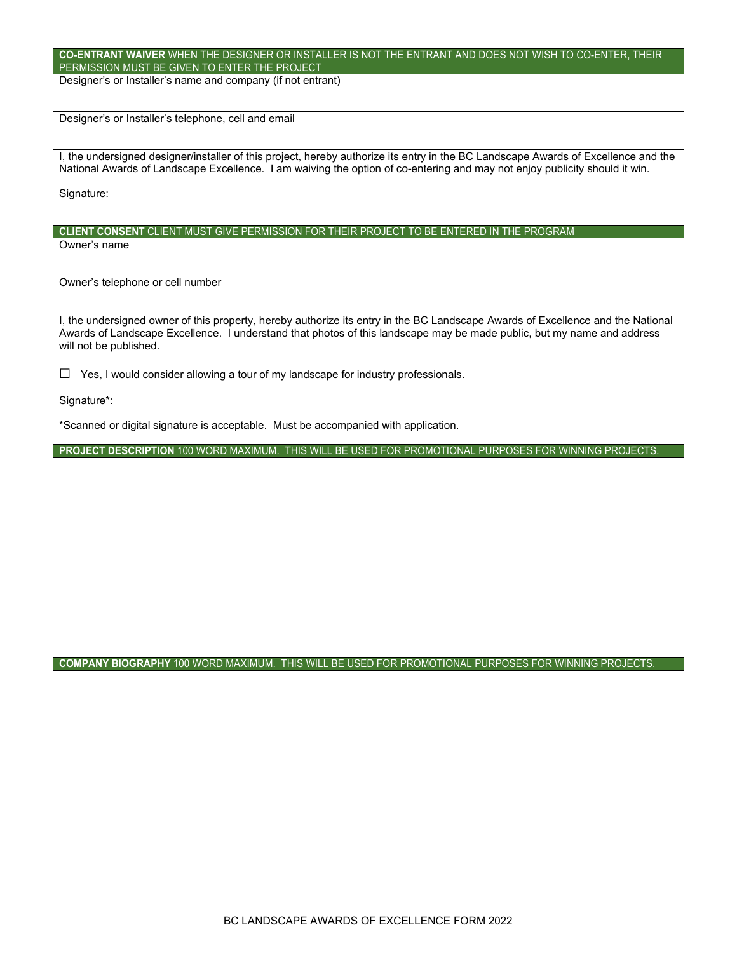| CO-ENTRANT WAIVER WHEN THE DESIGNER OR INSTALLER IS NOT THE ENTRANT AND DOES NOT WISH TO CO-ENTER, THEIR<br>PERMISSION MUST BE GIVEN TO ENTER THE PROJECT                                                                                                                           |
|-------------------------------------------------------------------------------------------------------------------------------------------------------------------------------------------------------------------------------------------------------------------------------------|
| Designer's or Installer's name and company (if not entrant)                                                                                                                                                                                                                         |
| Designer's or Installer's telephone, cell and email                                                                                                                                                                                                                                 |
| I, the undersigned designer/installer of this project, hereby authorize its entry in the BC Landscape Awards of Excellence and the<br>National Awards of Landscape Excellence. I am waiving the option of co-entering and may not enjoy publicity should it win.                    |
| Signature:                                                                                                                                                                                                                                                                          |
| CLIENT CONSENT CLIENT MUST GIVE PERMISSION FOR THEIR PROJECT TO BE ENTERED IN THE PROGRAM                                                                                                                                                                                           |
| Owner's name                                                                                                                                                                                                                                                                        |
| Owner's telephone or cell number                                                                                                                                                                                                                                                    |
| I, the undersigned owner of this property, hereby authorize its entry in the BC Landscape Awards of Excellence and the National<br>Awards of Landscape Excellence. I understand that photos of this landscape may be made public, but my name and address<br>will not be published. |
| Yes, I would consider allowing a tour of my landscape for industry professionals.<br>ப                                                                                                                                                                                              |
| Signature*:                                                                                                                                                                                                                                                                         |
| *Scanned or digital signature is acceptable. Must be accompanied with application.                                                                                                                                                                                                  |
| PROJECT DESCRIPTION 100 WORD MAXIMUM. THIS WILL BE USED FOR PROMOTIONAL PURPOSES FOR WINNING PROJECTS.                                                                                                                                                                              |
|                                                                                                                                                                                                                                                                                     |
|                                                                                                                                                                                                                                                                                     |
|                                                                                                                                                                                                                                                                                     |
|                                                                                                                                                                                                                                                                                     |
|                                                                                                                                                                                                                                                                                     |
|                                                                                                                                                                                                                                                                                     |
|                                                                                                                                                                                                                                                                                     |
|                                                                                                                                                                                                                                                                                     |
| COMPANY BIOGRAPHY 100 WORD MAXIMUM. THIS WILL BE USED FOR PROMOTIONAL PURPOSES FOR WINNING PROJECTS.                                                                                                                                                                                |
|                                                                                                                                                                                                                                                                                     |
|                                                                                                                                                                                                                                                                                     |
|                                                                                                                                                                                                                                                                                     |
|                                                                                                                                                                                                                                                                                     |
|                                                                                                                                                                                                                                                                                     |
|                                                                                                                                                                                                                                                                                     |
|                                                                                                                                                                                                                                                                                     |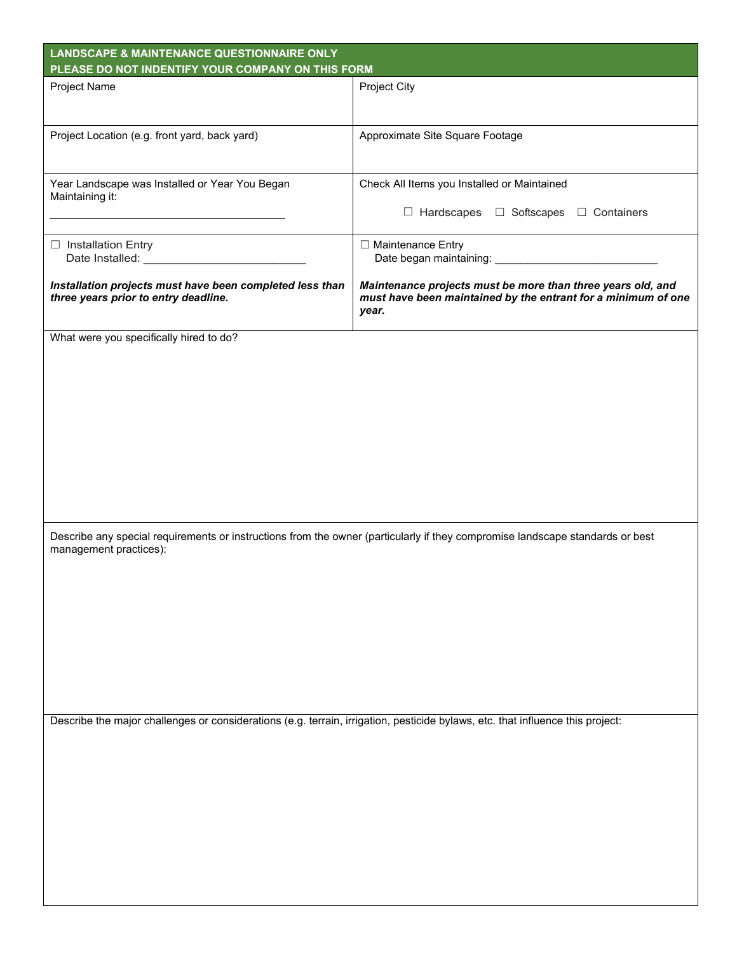| <b>LANDSCAPE &amp; MAINTENANCE QUESTIONNAIRE ONLY</b><br>PLEASE DO NOT INDENTIFY YOUR COMPANY ON THIS FORM                                              |                                                                                                                                       |  |  |  |
|---------------------------------------------------------------------------------------------------------------------------------------------------------|---------------------------------------------------------------------------------------------------------------------------------------|--|--|--|
| Project Name                                                                                                                                            | Project City                                                                                                                          |  |  |  |
|                                                                                                                                                         |                                                                                                                                       |  |  |  |
| Project Location (e.g. front yard, back yard)                                                                                                           | Approximate Site Square Footage                                                                                                       |  |  |  |
| Year Landscape was Installed or Year You Began<br>Maintaining it:                                                                                       | Check All Items you Installed or Maintained                                                                                           |  |  |  |
|                                                                                                                                                         | □ Hardscapes □ Softscapes □ Containers                                                                                                |  |  |  |
| $\Box$ Installation Entry                                                                                                                               | □ Maintenance Entry                                                                                                                   |  |  |  |
| Installation projects must have been completed less than<br>three years prior to entry deadline.                                                        | Maintenance projects must be more than three years old, and<br>must have been maintained by the entrant for a minimum of one<br>year. |  |  |  |
| What were you specifically hired to do?                                                                                                                 |                                                                                                                                       |  |  |  |
|                                                                                                                                                         |                                                                                                                                       |  |  |  |
| Describe any special requirements or instructions from the owner (particularly if they compromise landscape standards or best<br>management practices): |                                                                                                                                       |  |  |  |
|                                                                                                                                                         |                                                                                                                                       |  |  |  |
| Describe the major challenges or considerations (e.g. terrain, irrigation, pesticide bylaws, etc. that influence this project:                          |                                                                                                                                       |  |  |  |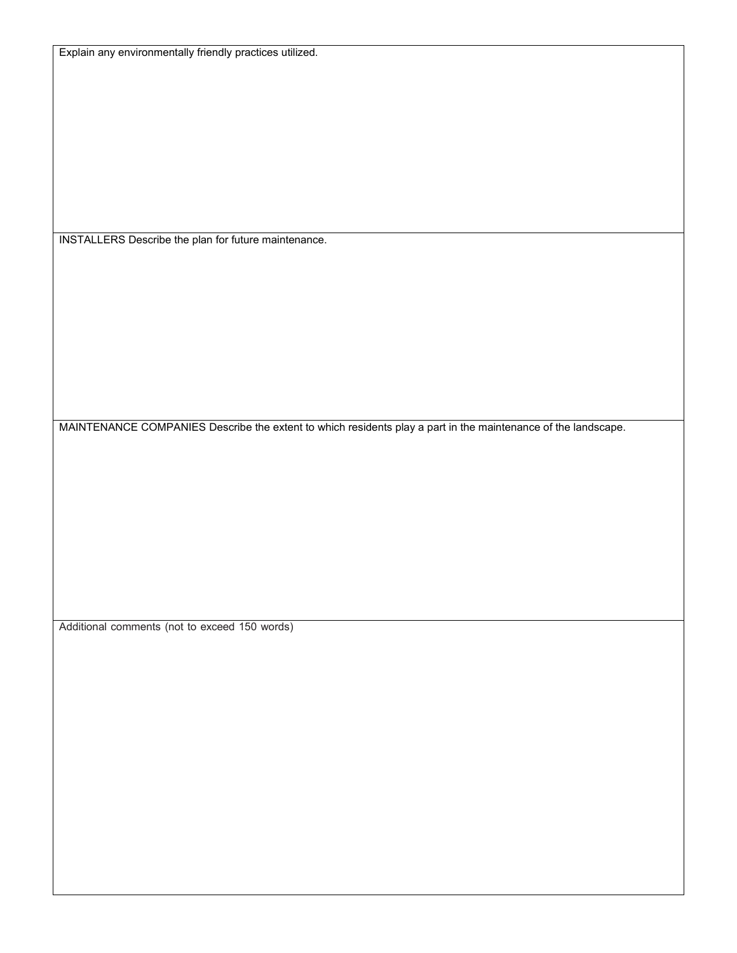INSTALLERS Describe the plan for future maintenance.

MAINTENANCE COMPANIES Describe the extent to which residents play a part in the maintenance of the landscape.

Additional comments (not to exceed 150 words)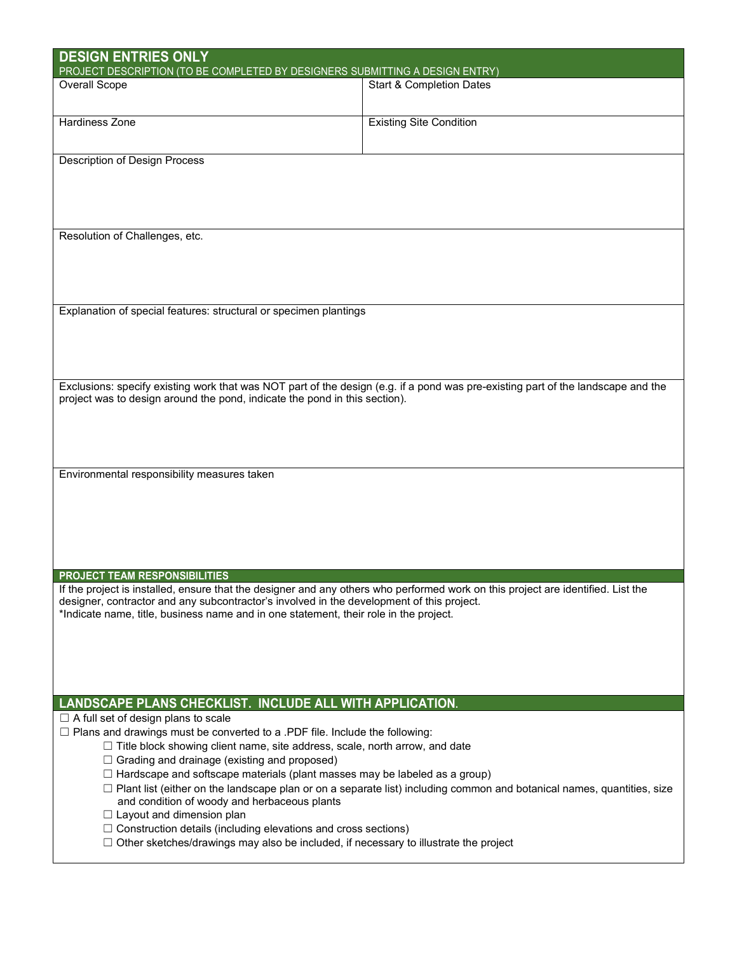| <b>DESIGN ENTRIES ONLY</b><br>PROJECT DESCRIPTION (TO BE COMPLETED BY DESIGNERS SUBMITTING A DESIGN ENTRY)                                                                         |                                                                                                                                  |  |  |
|------------------------------------------------------------------------------------------------------------------------------------------------------------------------------------|----------------------------------------------------------------------------------------------------------------------------------|--|--|
| <b>Overall Scope</b>                                                                                                                                                               | <b>Start &amp; Completion Dates</b>                                                                                              |  |  |
|                                                                                                                                                                                    |                                                                                                                                  |  |  |
| <b>Hardiness Zone</b>                                                                                                                                                              | <b>Existing Site Condition</b>                                                                                                   |  |  |
|                                                                                                                                                                                    |                                                                                                                                  |  |  |
| Description of Design Process                                                                                                                                                      |                                                                                                                                  |  |  |
|                                                                                                                                                                                    |                                                                                                                                  |  |  |
|                                                                                                                                                                                    |                                                                                                                                  |  |  |
|                                                                                                                                                                                    |                                                                                                                                  |  |  |
| Resolution of Challenges, etc.                                                                                                                                                     |                                                                                                                                  |  |  |
|                                                                                                                                                                                    |                                                                                                                                  |  |  |
|                                                                                                                                                                                    |                                                                                                                                  |  |  |
|                                                                                                                                                                                    |                                                                                                                                  |  |  |
| Explanation of special features: structural or specimen plantings                                                                                                                  |                                                                                                                                  |  |  |
|                                                                                                                                                                                    |                                                                                                                                  |  |  |
|                                                                                                                                                                                    |                                                                                                                                  |  |  |
|                                                                                                                                                                                    |                                                                                                                                  |  |  |
| project was to design around the pond, indicate the pond in this section).                                                                                                         | Exclusions: specify existing work that was NOT part of the design (e.g. if a pond was pre-existing part of the landscape and the |  |  |
|                                                                                                                                                                                    |                                                                                                                                  |  |  |
|                                                                                                                                                                                    |                                                                                                                                  |  |  |
|                                                                                                                                                                                    |                                                                                                                                  |  |  |
| Environmental responsibility measures taken                                                                                                                                        |                                                                                                                                  |  |  |
|                                                                                                                                                                                    |                                                                                                                                  |  |  |
|                                                                                                                                                                                    |                                                                                                                                  |  |  |
|                                                                                                                                                                                    |                                                                                                                                  |  |  |
|                                                                                                                                                                                    |                                                                                                                                  |  |  |
|                                                                                                                                                                                    |                                                                                                                                  |  |  |
| <b>PROJECT TEAM RESPONSIBILITIES</b><br>If the project is installed, ensure that the designer and any others who performed work on this project are identified. List the           |                                                                                                                                  |  |  |
| designer, contractor and any subcontractor's involved in the development of this project.<br>*Indicate name, title, business name and in one statement, their role in the project. |                                                                                                                                  |  |  |
|                                                                                                                                                                                    |                                                                                                                                  |  |  |
|                                                                                                                                                                                    |                                                                                                                                  |  |  |
|                                                                                                                                                                                    |                                                                                                                                  |  |  |
|                                                                                                                                                                                    |                                                                                                                                  |  |  |
| LANDSCAPE PLANS CHECKLIST. INCLUDE ALL WITH APPLICATION.                                                                                                                           |                                                                                                                                  |  |  |
| $\Box$ A full set of design plans to scale                                                                                                                                         |                                                                                                                                  |  |  |
| $\Box$ Plans and drawings must be converted to a .PDF file. Include the following:<br>$\Box$ Title block showing client name, site address, scale, north arrow, and date           |                                                                                                                                  |  |  |
| $\Box$ Grading and drainage (existing and proposed)                                                                                                                                |                                                                                                                                  |  |  |
| $\Box$ Hardscape and softscape materials (plant masses may be labeled as a group)                                                                                                  |                                                                                                                                  |  |  |
| $\Box$ Plant list (either on the landscape plan or on a separate list) including common and botanical names, quantities, size<br>and condition of woody and herbaceous plants      |                                                                                                                                  |  |  |
| $\Box$ Layout and dimension plan                                                                                                                                                   |                                                                                                                                  |  |  |
| $\Box$ Construction details (including elevations and cross sections)                                                                                                              |                                                                                                                                  |  |  |
| $\Box$ Other sketches/drawings may also be included, if necessary to illustrate the project                                                                                        |                                                                                                                                  |  |  |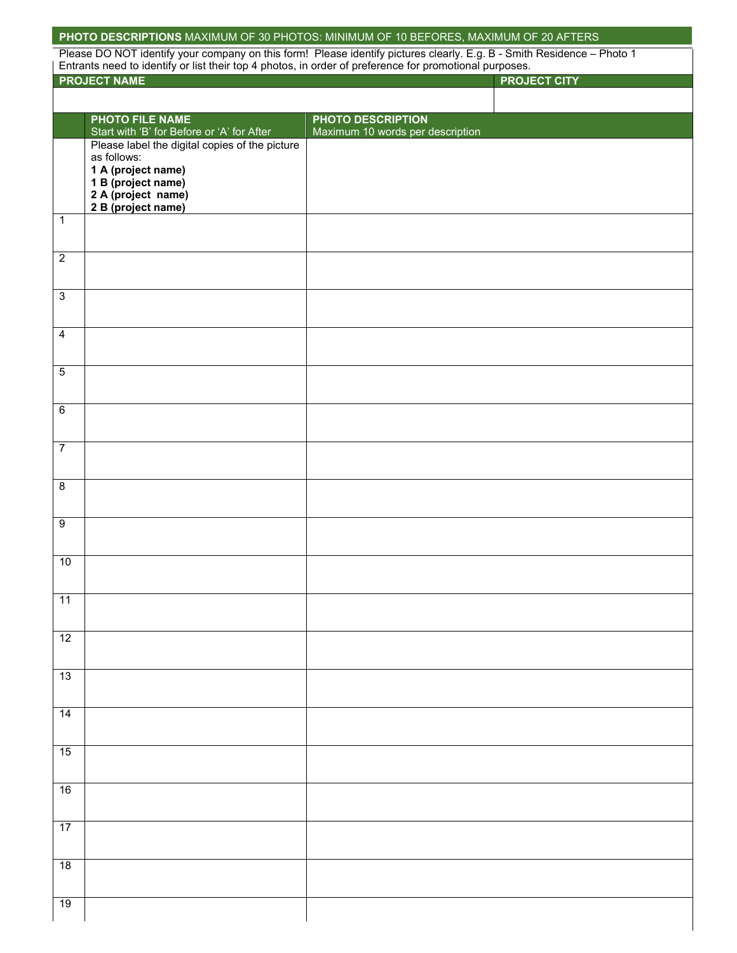|                     |                                                               | PHOTO DESCRIPTIONS MAXIMUM OF 30 PHOTOS: MINIMUM OF 10 BEFORES, MAXIMUM OF 20 AFTERS                                          |
|---------------------|---------------------------------------------------------------|-------------------------------------------------------------------------------------------------------------------------------|
|                     |                                                               | Please DO NOT identify your company on this form! Please identify pictures clearly. E.g. B - Smith Residence - Photo 1        |
|                     | <b>PROJECT NAME</b>                                           | Entrants need to identify or list their top 4 photos, in order of preference for promotional purposes.<br><b>PROJECT CITY</b> |
|                     |                                                               |                                                                                                                               |
|                     | <b>PHOTO FILE NAME</b>                                        | <b>PHOTO DESCRIPTION</b>                                                                                                      |
|                     | Start with 'B' for Before or 'A' for After                    | Maximum 10 words per description                                                                                              |
|                     | Please label the digital copies of the picture<br>as follows: |                                                                                                                               |
|                     | 1 A (project name)                                            |                                                                                                                               |
|                     | 1 B (project name)                                            |                                                                                                                               |
|                     | 2 A (project name)<br>2 B (project name)                      |                                                                                                                               |
| $\mathbf 1$         |                                                               |                                                                                                                               |
|                     |                                                               |                                                                                                                               |
| $\overline{2}$      |                                                               |                                                                                                                               |
|                     |                                                               |                                                                                                                               |
| $\overline{\omega}$ |                                                               |                                                                                                                               |
|                     |                                                               |                                                                                                                               |
| $\overline{4}$      |                                                               |                                                                                                                               |
|                     |                                                               |                                                                                                                               |
| $\overline{5}$      |                                                               |                                                                                                                               |
|                     |                                                               |                                                                                                                               |
| $\overline{6}$      |                                                               |                                                                                                                               |
|                     |                                                               |                                                                                                                               |
| $\overline{7}$      |                                                               |                                                                                                                               |
|                     |                                                               |                                                                                                                               |
| $\overline{8}$      |                                                               |                                                                                                                               |
|                     |                                                               |                                                                                                                               |
| $\overline{9}$      |                                                               |                                                                                                                               |
|                     |                                                               |                                                                                                                               |
| $10$                |                                                               |                                                                                                                               |
|                     |                                                               |                                                                                                                               |
| $\overline{11}$     |                                                               |                                                                                                                               |
|                     |                                                               |                                                                                                                               |
| 12                  |                                                               |                                                                                                                               |
|                     |                                                               |                                                                                                                               |
| 13                  |                                                               |                                                                                                                               |
|                     |                                                               |                                                                                                                               |
| $\overline{14}$     |                                                               |                                                                                                                               |
|                     |                                                               |                                                                                                                               |
| 15                  |                                                               |                                                                                                                               |
|                     |                                                               |                                                                                                                               |
| 16                  |                                                               |                                                                                                                               |
|                     |                                                               |                                                                                                                               |
| $\overline{17}$     |                                                               |                                                                                                                               |
|                     |                                                               |                                                                                                                               |
| 18                  |                                                               |                                                                                                                               |
|                     |                                                               |                                                                                                                               |
| 19                  |                                                               |                                                                                                                               |
|                     |                                                               |                                                                                                                               |